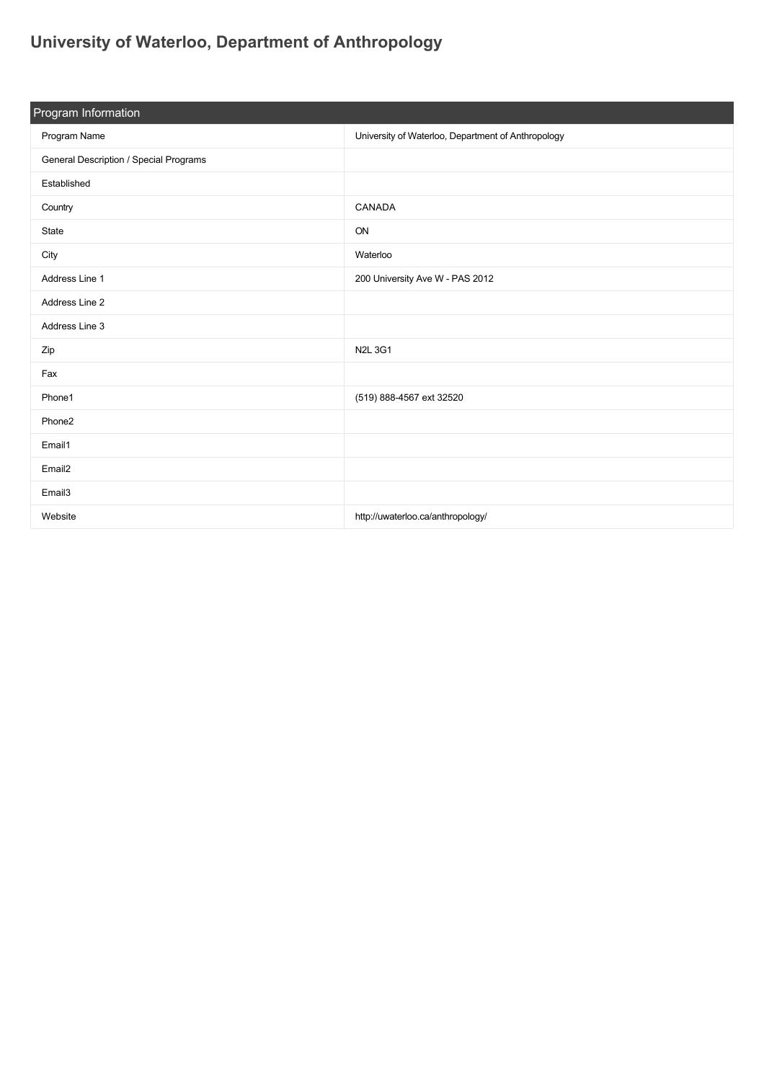## **[University of Waterloo, Department of Anthropology](https://guide.americananthro.org/205/University-of-Waterloo-Department-of-Anthropology)**

| Program Information                    |                                                    |  |  |  |
|----------------------------------------|----------------------------------------------------|--|--|--|
| Program Name                           | University of Waterloo, Department of Anthropology |  |  |  |
| General Description / Special Programs |                                                    |  |  |  |
| Established                            |                                                    |  |  |  |
| Country                                | CANADA                                             |  |  |  |
| State                                  | ON                                                 |  |  |  |
| City                                   | Waterloo                                           |  |  |  |
| Address Line 1                         | 200 University Ave W - PAS 2012                    |  |  |  |
| Address Line 2                         |                                                    |  |  |  |
| Address Line 3                         |                                                    |  |  |  |
| Zip                                    | <b>N2L3G1</b>                                      |  |  |  |
| Fax                                    |                                                    |  |  |  |
| Phone1                                 | (519) 888-4567 ext 32520                           |  |  |  |
| Phone2                                 |                                                    |  |  |  |
| Email1                                 |                                                    |  |  |  |
| Email <sub>2</sub>                     |                                                    |  |  |  |
| Email3                                 |                                                    |  |  |  |
| Website                                | http://uwaterloo.ca/anthropology/                  |  |  |  |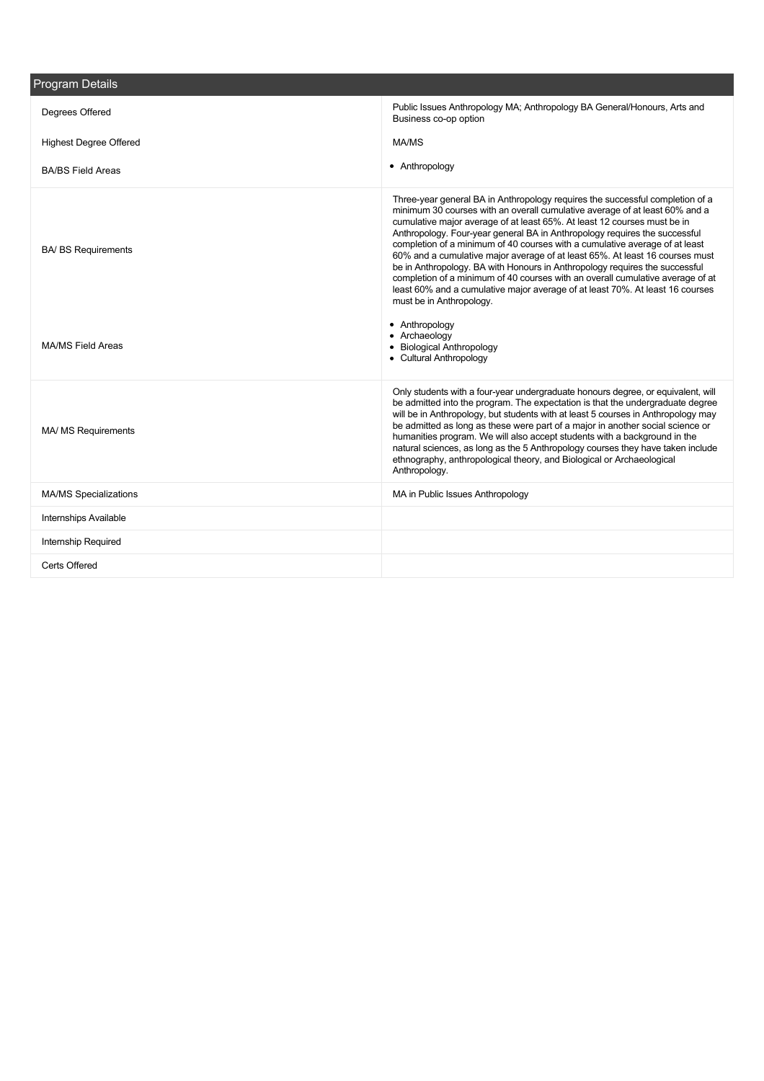| <b>Program Details</b>        |                                                                                                                                                                                                                                                                                                                                                                                                                                                                                                                                                                                                                                                                                                                                                                     |
|-------------------------------|---------------------------------------------------------------------------------------------------------------------------------------------------------------------------------------------------------------------------------------------------------------------------------------------------------------------------------------------------------------------------------------------------------------------------------------------------------------------------------------------------------------------------------------------------------------------------------------------------------------------------------------------------------------------------------------------------------------------------------------------------------------------|
| Degrees Offered               | Public Issues Anthropology MA; Anthropology BA General/Honours, Arts and<br>Business co-op option                                                                                                                                                                                                                                                                                                                                                                                                                                                                                                                                                                                                                                                                   |
| <b>Highest Degree Offered</b> | MA/MS                                                                                                                                                                                                                                                                                                                                                                                                                                                                                                                                                                                                                                                                                                                                                               |
| <b>BA/BS Field Areas</b>      | • Anthropology                                                                                                                                                                                                                                                                                                                                                                                                                                                                                                                                                                                                                                                                                                                                                      |
| <b>BA/ BS Requirements</b>    | Three-year general BA in Anthropology requires the successful completion of a<br>minimum 30 courses with an overall cumulative average of at least 60% and a<br>cumulative major average of at least 65%. At least 12 courses must be in<br>Anthropology. Four-year general BA in Anthropology requires the successful<br>completion of a minimum of 40 courses with a cumulative average of at least<br>60% and a cumulative major average of at least 65%. At least 16 courses must<br>be in Anthropology. BA with Honours in Anthropology requires the successful<br>completion of a minimum of 40 courses with an overall cumulative average of at<br>least 60% and a cumulative major average of at least 70%. At least 16 courses<br>must be in Anthropology. |
| <b>MA/MS Field Areas</b>      | • Anthropology<br>• Archaeology<br>• Biological Anthropology<br>• Cultural Anthropology                                                                                                                                                                                                                                                                                                                                                                                                                                                                                                                                                                                                                                                                             |
| <b>MA/ MS Requirements</b>    | Only students with a four-year undergraduate honours degree, or equivalent, will<br>be admitted into the program. The expectation is that the undergraduate degree<br>will be in Anthropology, but students with at least 5 courses in Anthropology may<br>be admitted as long as these were part of a major in another social science or<br>humanities program. We will also accept students with a background in the<br>natural sciences, as long as the 5 Anthropology courses they have taken include<br>ethnography, anthropological theory, and Biological or Archaeological<br>Anthropology.                                                                                                                                                                 |
| <b>MA/MS Specializations</b>  | MA in Public Issues Anthropology                                                                                                                                                                                                                                                                                                                                                                                                                                                                                                                                                                                                                                                                                                                                    |
| <b>Internships Available</b>  |                                                                                                                                                                                                                                                                                                                                                                                                                                                                                                                                                                                                                                                                                                                                                                     |
| <b>Internship Required</b>    |                                                                                                                                                                                                                                                                                                                                                                                                                                                                                                                                                                                                                                                                                                                                                                     |
| Certs Offered                 |                                                                                                                                                                                                                                                                                                                                                                                                                                                                                                                                                                                                                                                                                                                                                                     |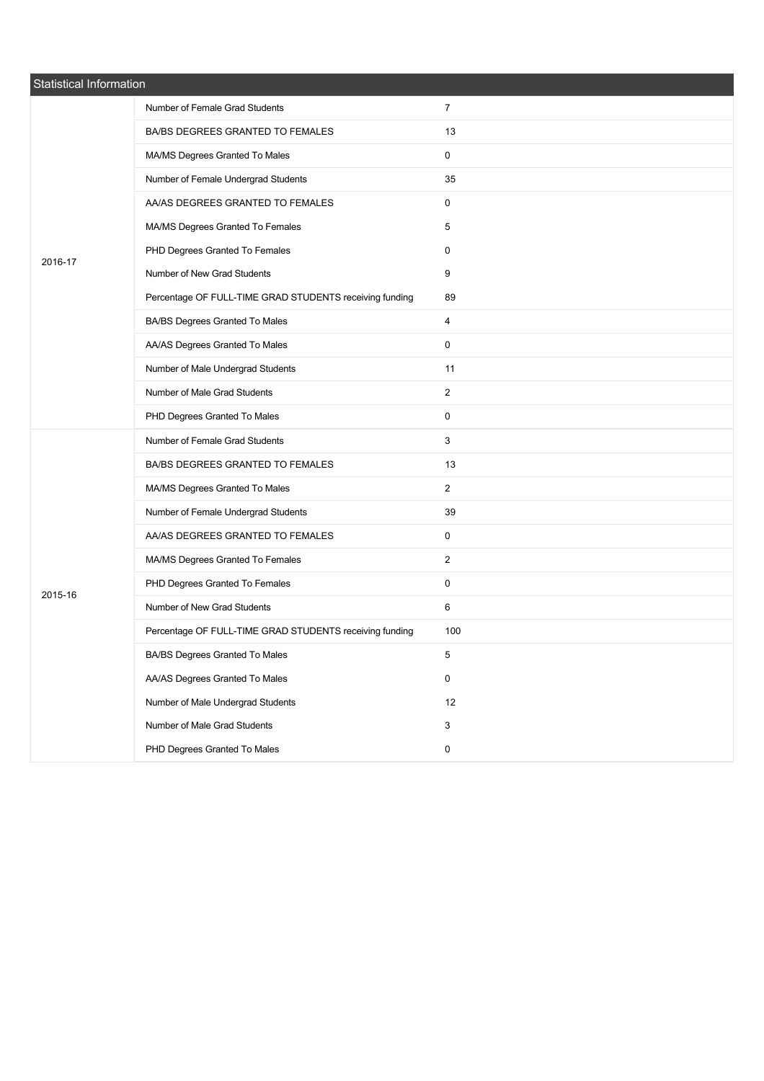| Statistical Information |                                                         |                |  |
|-------------------------|---------------------------------------------------------|----------------|--|
|                         | Number of Female Grad Students                          | $\overline{7}$ |  |
|                         | BA/BS DEGREES GRANTED TO FEMALES                        | 13             |  |
|                         | MA/MS Degrees Granted To Males                          | 0              |  |
|                         | Number of Female Undergrad Students                     | 35             |  |
|                         | AA/AS DEGREES GRANTED TO FEMALES                        | 0              |  |
|                         | MA/MS Degrees Granted To Females                        | 5              |  |
| 2016-17                 | PHD Degrees Granted To Females                          | 0              |  |
|                         | Number of New Grad Students                             | 9              |  |
|                         | Percentage OF FULL-TIME GRAD STUDENTS receiving funding | 89             |  |
|                         | BA/BS Degrees Granted To Males                          | 4              |  |
|                         | AA/AS Degrees Granted To Males                          | 0              |  |
|                         | Number of Male Undergrad Students                       | 11             |  |
|                         | Number of Male Grad Students                            | $\overline{2}$ |  |
|                         | PHD Degrees Granted To Males                            | 0              |  |
|                         | Number of Female Grad Students                          | 3              |  |
|                         | BA/BS DEGREES GRANTED TO FEMALES                        | 13             |  |
|                         | MA/MS Degrees Granted To Males                          | $\overline{2}$ |  |
|                         | Number of Female Undergrad Students                     | 39             |  |
|                         | AA/AS DEGREES GRANTED TO FEMALES                        | 0              |  |
|                         | MA/MS Degrees Granted To Females                        | $\overline{2}$ |  |
| 2015-16                 | PHD Degrees Granted To Females                          | 0              |  |
|                         | Number of New Grad Students                             | 6              |  |
|                         | Percentage OF FULL-TIME GRAD STUDENTS receiving funding | 100            |  |
|                         | BA/BS Degrees Granted To Males                          | 5              |  |
|                         | AA/AS Degrees Granted To Males                          | 0              |  |
|                         | Number of Male Undergrad Students                       | 12             |  |
|                         | Number of Male Grad Students                            | 3              |  |
|                         | PHD Degrees Granted To Males                            | 0              |  |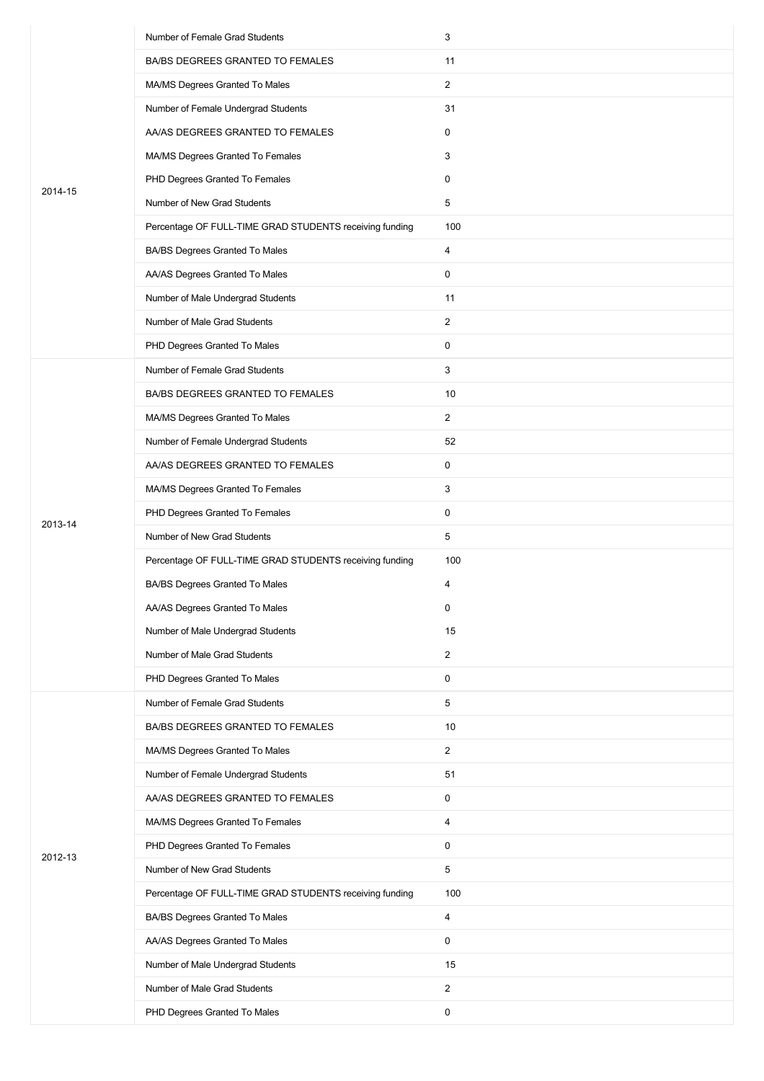|         | Number of Female Grad Students                          | 3              |
|---------|---------------------------------------------------------|----------------|
|         | BA/BS DEGREES GRANTED TO FEMALES                        | 11             |
|         | MA/MS Degrees Granted To Males                          | $\overline{2}$ |
|         | Number of Female Undergrad Students                     | 31             |
|         | AA/AS DEGREES GRANTED TO FEMALES                        | 0              |
|         | MA/MS Degrees Granted To Females                        | 3              |
| 2014-15 | PHD Degrees Granted To Females                          | 0              |
|         | Number of New Grad Students                             | 5              |
|         | Percentage OF FULL-TIME GRAD STUDENTS receiving funding | 100            |
|         | BA/BS Degrees Granted To Males                          | 4              |
|         | AA/AS Degrees Granted To Males                          | 0              |
|         | Number of Male Undergrad Students                       | 11             |
|         | Number of Male Grad Students                            | $\overline{2}$ |
|         | PHD Degrees Granted To Males                            | 0              |
|         | Number of Female Grad Students                          | 3              |
|         | BA/BS DEGREES GRANTED TO FEMALES                        | 10             |
|         | MA/MS Degrees Granted To Males                          | $\overline{2}$ |
|         | Number of Female Undergrad Students                     | 52             |
|         | AA/AS DEGREES GRANTED TO FEMALES                        | 0              |
|         | MA/MS Degrees Granted To Females                        | 3              |
| 2013-14 | PHD Degrees Granted To Females                          | 0              |
|         | Number of New Grad Students                             | 5              |
|         | Percentage OF FULL-TIME GRAD STUDENTS receiving funding | 100            |
|         | <b>BA/BS Degrees Granted To Males</b>                   | 4              |
|         | AA/AS Degrees Granted To Males                          | 0              |
|         | Number of Male Undergrad Students                       | 15             |
|         | Number of Male Grad Students                            | $\overline{2}$ |
|         | PHD Degrees Granted To Males                            | 0              |
|         | Number of Female Grad Students                          | 5              |
|         | BA/BS DEGREES GRANTED TO FEMALES                        | 10             |
|         | MA/MS Degrees Granted To Males                          | $\overline{2}$ |
|         | Number of Female Undergrad Students                     | 51             |
|         | AA/AS DEGREES GRANTED TO FEMALES                        | 0              |
|         | MA/MS Degrees Granted To Females                        | 4              |
| 2012-13 | PHD Degrees Granted To Females                          | 0              |
|         | Number of New Grad Students                             | 5              |
|         | Percentage OF FULL-TIME GRAD STUDENTS receiving funding | 100            |
|         | BA/BS Degrees Granted To Males                          | 4              |
|         | AA/AS Degrees Granted To Males                          | 0              |
|         | Number of Male Undergrad Students                       | 15             |
|         | Number of Male Grad Students                            | $\overline{2}$ |
|         | PHD Degrees Granted To Males                            | 0              |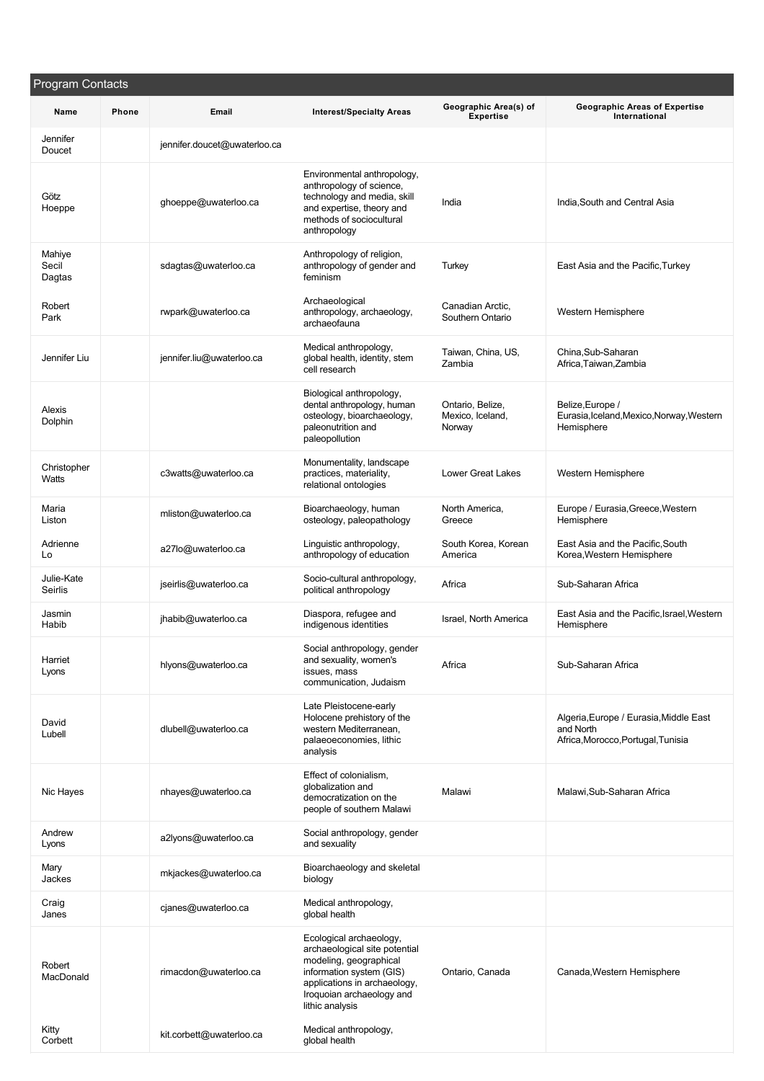| Program Contacts          |       |                              |                                                                                                                                                                                                |                                                |                                                                                           |
|---------------------------|-------|------------------------------|------------------------------------------------------------------------------------------------------------------------------------------------------------------------------------------------|------------------------------------------------|-------------------------------------------------------------------------------------------|
| Name                      | Phone | Email                        | <b>Interest/Specialty Areas</b>                                                                                                                                                                | Geographic Area(s) of<br><b>Expertise</b>      | <b>Geographic Areas of Expertise</b><br>International                                     |
| Jennifer<br>Doucet        |       | jennifer.doucet@uwaterloo.ca |                                                                                                                                                                                                |                                                |                                                                                           |
| Götz<br>Hoeppe            |       | ghoeppe@uwaterloo.ca         | Environmental anthropology,<br>anthropology of science,<br>technology and media, skill<br>and expertise, theory and<br>methods of sociocultural<br>anthropology                                | India                                          | India, South and Central Asia                                                             |
| Mahiye<br>Secil<br>Dagtas |       | sdagtas@uwaterloo.ca         | Anthropology of religion,<br>anthropology of gender and<br>feminism                                                                                                                            | Turkey                                         | East Asia and the Pacific, Turkey                                                         |
| Robert<br>Park            |       | rwpark@uwaterloo.ca          | Archaeological<br>anthropology, archaeology,<br>archaeofauna                                                                                                                                   | Canadian Arctic,<br>Southern Ontario           | Western Hemisphere                                                                        |
| Jennifer Liu              |       | jennifer.liu@uwaterloo.ca    | Medical anthropology,<br>global health, identity, stem<br>cell research                                                                                                                        | Taiwan, China, US,<br>Zambia                   | China, Sub-Saharan<br>Africa, Taiwan, Zambia                                              |
| Alexis<br>Dolphin         |       |                              | Biological anthropology,<br>dental anthropology, human<br>osteology, bioarchaeology,<br>paleonutrition and<br>paleopollution                                                                   | Ontario, Belize,<br>Mexico, Iceland,<br>Norway | Belize, Europe /<br>Eurasia, Iceland, Mexico, Norway, Western<br>Hemisphere               |
| Christopher<br>Watts      |       | c3watts@uwaterloo.ca         | Monumentality, landscape<br>practices, materiality,<br>relational ontologies                                                                                                                   | <b>Lower Great Lakes</b>                       | Western Hemisphere                                                                        |
| Maria<br>Liston           |       | mliston@uwaterloo.ca         | Bioarchaeology, human<br>osteology, paleopathology                                                                                                                                             | North America,<br>Greece                       | Europe / Eurasia, Greece, Western<br>Hemisphere                                           |
| Adrienne<br>Lo            |       | a27lo@uwaterloo.ca           | Linguistic anthropology,<br>anthropology of education                                                                                                                                          | South Korea, Korean<br>America                 | East Asia and the Pacific, South<br>Korea, Western Hemisphere                             |
| Julie-Kate<br>Seirlis     |       | jseirlis@uwaterloo.ca        | Socio-cultural anthropology,<br>political anthropology                                                                                                                                         | Africa                                         | Sub-Saharan Africa                                                                        |
| Jasmin<br>Habib           |       | jhabib@uwaterloo.ca          | Diaspora, refugee and<br>indigenous identities                                                                                                                                                 | Israel, North America                          | East Asia and the Pacific, Israel, Western<br>Hemisphere                                  |
| Harriet<br>Lyons          |       | hlyons@uwaterloo.ca          | Social anthropology, gender<br>and sexuality, women's<br>issues, mass<br>communication, Judaism                                                                                                | Africa                                         | Sub-Saharan Africa                                                                        |
| David<br>Lubell           |       | dlubell@uwaterloo.ca         | Late Pleistocene-early<br>Holocene prehistory of the<br>western Mediterranean,<br>palaeoeconomies, lithic<br>analysis                                                                          |                                                | Algeria, Europe / Eurasia, Middle East<br>and North<br>Africa, Morocco, Portugal, Tunisia |
| Nic Hayes                 |       | nhayes@uwaterloo.ca          | Effect of colonialism,<br>globalization and<br>democratization on the<br>people of southern Malawi                                                                                             | Malawi                                         | Malawi, Sub-Saharan Africa                                                                |
| Andrew<br>Lyons           |       | a2lyons@uwaterloo.ca         | Social anthropology, gender<br>and sexuality                                                                                                                                                   |                                                |                                                                                           |
| Mary<br>Jackes            |       | mkjackes@uwaterloo.ca        | Bioarchaeology and skeletal<br>biology                                                                                                                                                         |                                                |                                                                                           |
| Craig<br>Janes            |       | cjanes@uwaterloo.ca          | Medical anthropology,<br>global health                                                                                                                                                         |                                                |                                                                                           |
| Robert<br>MacDonald       |       | rimacdon@uwaterloo.ca        | Ecological archaeology,<br>archaeological site potential<br>modeling, geographical<br>information system (GIS)<br>applications in archaeology,<br>Iroquoian archaeology and<br>lithic analysis | Ontario, Canada                                | Canada, Western Hemisphere                                                                |
| Kitty<br>Corbett          |       | kit.corbett@uwaterloo.ca     | Medical anthropology,<br>global health                                                                                                                                                         |                                                |                                                                                           |